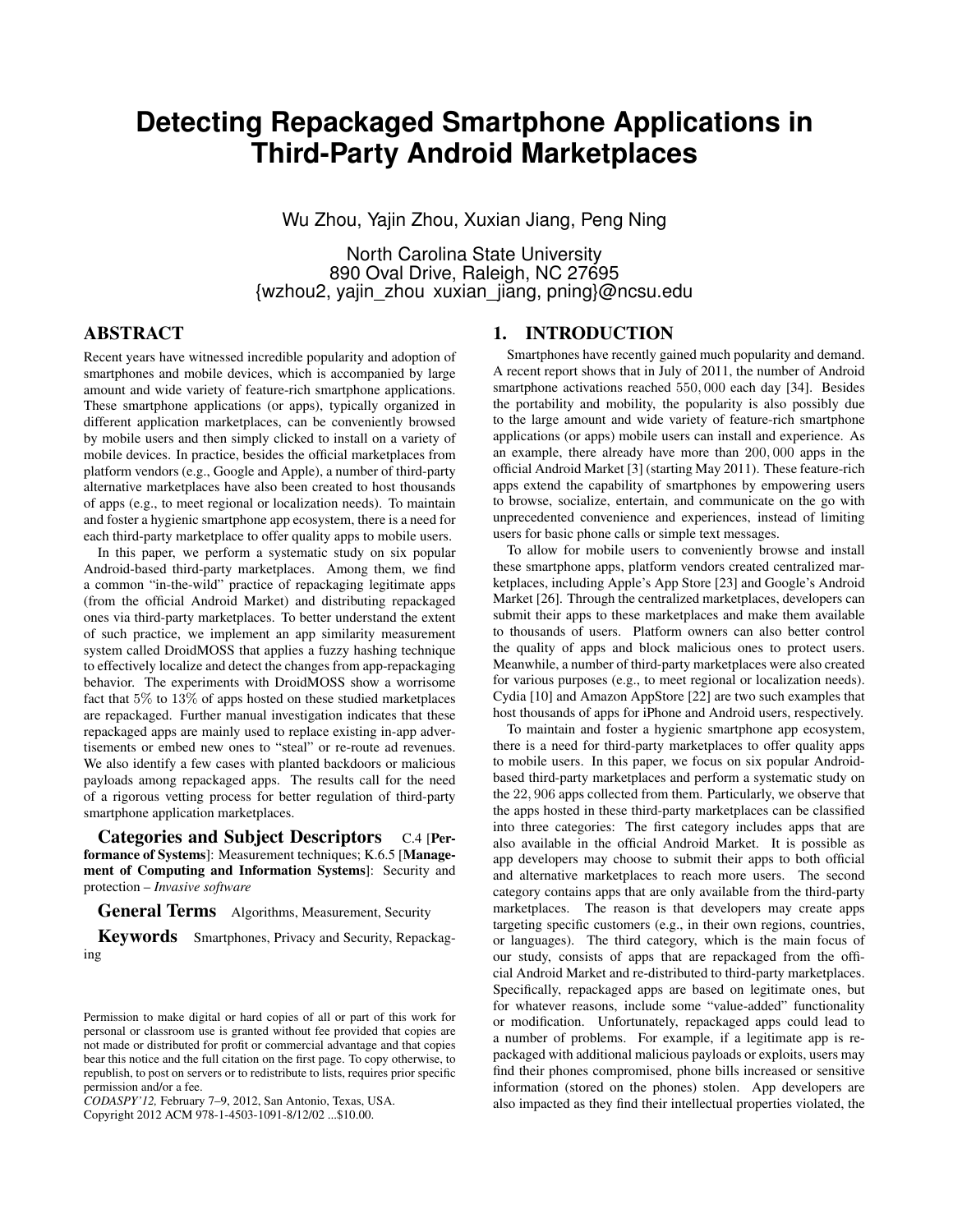# **Detecting Repackaged Smartphone Applications in Third-Party Android Marketplaces**

Wu Zhou, Yajin Zhou, Xuxian Jiang, Peng Ning

North Carolina State University 890 Oval Drive, Raleigh, NC 27695 {wzhou2, yajin\_zhou xuxian\_jiang, pning}@ncsu.edu

## **ABSTRACT**

Recent years have witnessed incredible popularity and adoption of smartphones and mobile devices, which is accompanied by large amount and wide variety of feature-rich smartphone applications. These smartphone applications (or apps), typically organized in different application marketplaces, can be conveniently browsed by mobile users and then simply clicked to install on a variety of mobile devices. In practice, besides the official marketplaces from platform vendors (e.g., Google and Apple), a number of third-party alternative marketplaces have also been created to host thousands of apps (e.g., to meet regional or localization needs). To maintain and foster a hygienic smartphone app ecosystem, there is a need for each third-party marketplace to offer quality apps to mobile users.

In this paper, we perform a systematic study on six popular Android-based third-party marketplaces. Among them, we find a common "in-the-wild" practice of repackaging legitimate apps (from the official Android Market) and distributing repackaged ones via third-party marketplaces. To better understand the extent of such practice, we implement an app similarity measurement system called DroidMOSS that applies a fuzzy hashing technique to effectively localize and detect the changes from app-repackaging behavior. The experiments with DroidMOSS show a worrisome fact that 5% to 13% of apps hosted on these studied marketplaces are repackaged. Further manual investigation indicates that these repackaged apps are mainly used to replace existing in-app advertisements or embed new ones to "steal" or re-route ad revenues. We also identify a few cases with planted backdoors or malicious payloads among repackaged apps. The results call for the need of a rigorous vetting process for better regulation of third-party smartphone application marketplaces.

**Categories and Subject Descriptors** C.4 [**Performance of Systems**]: Measurement techniques; K.6.5 [**Management of Computing and Information Systems**]: Security and protection – *Invasive software*

**General Terms** Algorithms, Measurement, Security

**Keywords** Smartphones, Privacy and Security, Repackaging

*CODASPY'12,* February 7–9, 2012, San Antonio, Texas, USA. Copyright 2012 ACM 978-1-4503-1091-8/12/02 ...\$10.00.

## **1. INTRODUCTION**

Smartphones have recently gained much popularity and demand. A recent report shows that in July of 2011, the number of Android smartphone activations reached 550, 000 each day [34]. Besides the portability and mobility, the popularity is also possibly due to the large amount and wide variety of feature-rich smartphone applications (or apps) mobile users can install and experience. As an example, there already have more than 200, 000 apps in the official Android Market [3] (starting May 2011). These feature-rich apps extend the capability of smartphones by empowering users to browse, socialize, entertain, and communicate on the go with unprecedented convenience and experiences, instead of limiting users for basic phone calls or simple text messages.

To allow for mobile users to conveniently browse and install these smartphone apps, platform vendors created centralized marketplaces, including Apple's App Store [23] and Google's Android Market [26]. Through the centralized marketplaces, developers can submit their apps to these marketplaces and make them available to thousands of users. Platform owners can also better control the quality of apps and block malicious ones to protect users. Meanwhile, a number of third-party marketplaces were also created for various purposes (e.g., to meet regional or localization needs). Cydia [10] and Amazon AppStore [22] are two such examples that host thousands of apps for iPhone and Android users, respectively.

To maintain and foster a hygienic smartphone app ecosystem, there is a need for third-party marketplaces to offer quality apps to mobile users. In this paper, we focus on six popular Androidbased third-party marketplaces and perform a systematic study on the 22, 906 apps collected from them. Particularly, we observe that the apps hosted in these third-party marketplaces can be classified into three categories: The first category includes apps that are also available in the official Android Market. It is possible as app developers may choose to submit their apps to both official and alternative marketplaces to reach more users. The second category contains apps that are only available from the third-party marketplaces. The reason is that developers may create apps targeting specific customers (e.g., in their own regions, countries, or languages). The third category, which is the main focus of our study, consists of apps that are repackaged from the official Android Market and re-distributed to third-party marketplaces. Specifically, repackaged apps are based on legitimate ones, but for whatever reasons, include some "value-added" functionality or modification. Unfortunately, repackaged apps could lead to a number of problems. For example, if a legitimate app is repackaged with additional malicious payloads or exploits, users may find their phones compromised, phone bills increased or sensitive information (stored on the phones) stolen. App developers are also impacted as they find their intellectual properties violated, the

Permission to make digital or hard copies of all or part of this work for personal or classroom use is granted without fee provided that copies are not made or distributed for profit or commercial advantage and that copies bear this notice and the full citation on the first page. To copy otherwise, to republish, to post on servers or to redistribute to lists, requires prior specific permission and/or a fee.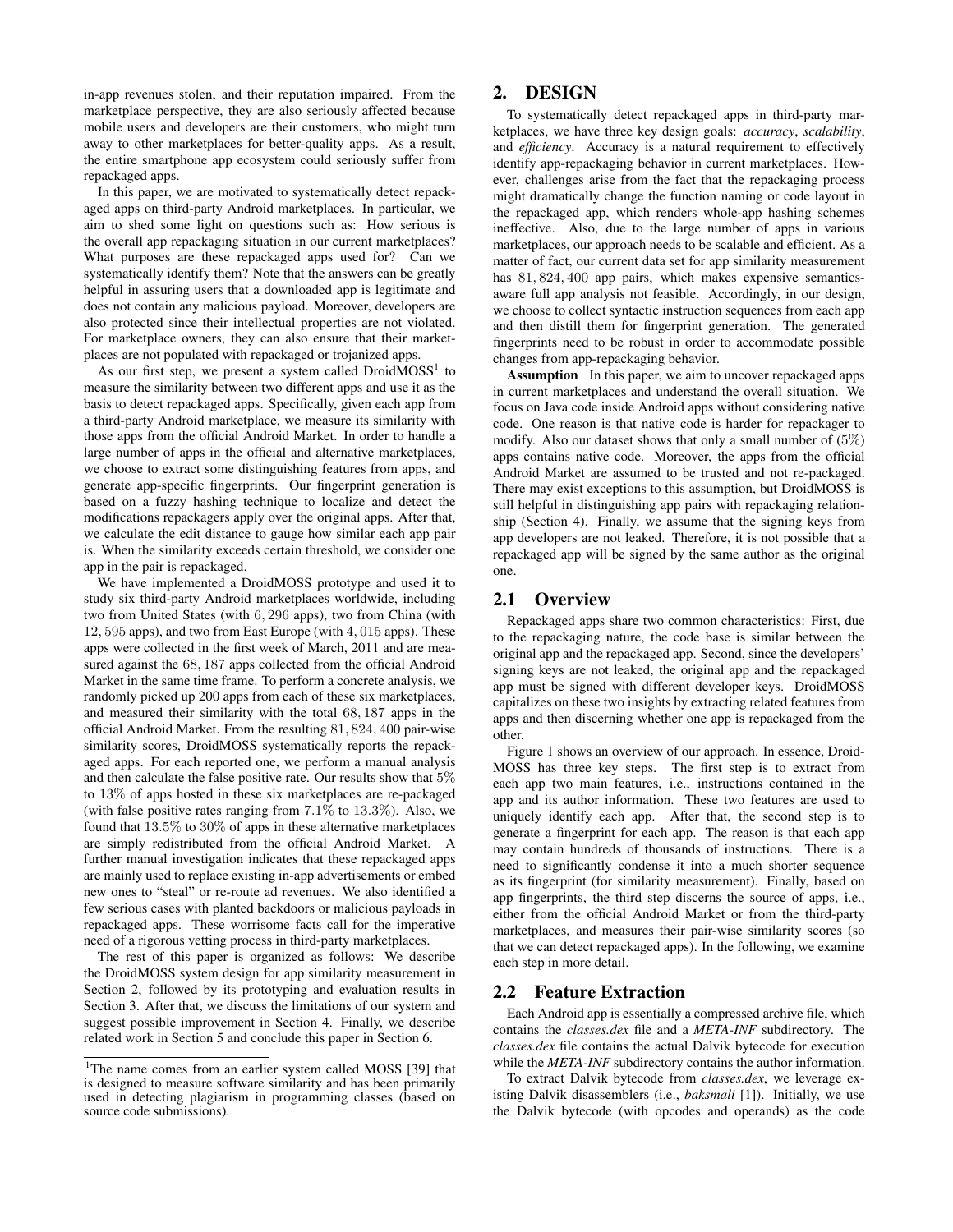in-app revenues stolen, and their reputation impaired. From the marketplace perspective, they are also seriously affected because mobile users and developers are their customers, who might turn away to other marketplaces for better-quality apps. As a result, the entire smartphone app ecosystem could seriously suffer from repackaged apps.

In this paper, we are motivated to systematically detect repackaged apps on third-party Android marketplaces. In particular, we aim to shed some light on questions such as: How serious is the overall app repackaging situation in our current marketplaces? What purposes are these repackaged apps used for? Can we systematically identify them? Note that the answers can be greatly helpful in assuring users that a downloaded app is legitimate and does not contain any malicious payload. Moreover, developers are also protected since their intellectual properties are not violated. For marketplace owners, they can also ensure that their marketplaces are not populated with repackaged or trojanized apps.

As our first step, we present a system called  $DroidMOSS<sup>1</sup>$  to measure the similarity between two different apps and use it as the basis to detect repackaged apps. Specifically, given each app from a third-party Android marketplace, we measure its similarity with those apps from the official Android Market. In order to handle a large number of apps in the official and alternative marketplaces, we choose to extract some distinguishing features from apps, and generate app-specific fingerprints. Our fingerprint generation is based on a fuzzy hashing technique to localize and detect the modifications repackagers apply over the original apps. After that, we calculate the edit distance to gauge how similar each app pair is. When the similarity exceeds certain threshold, we consider one app in the pair is repackaged.

We have implemented a DroidMOSS prototype and used it to study six third-party Android marketplaces worldwide, including two from United States (with 6, 296 apps), two from China (with 12, 595 apps), and two from East Europe (with 4, 015 apps). These apps were collected in the first week of March, 2011 and are measured against the 68, 187 apps collected from the official Android Market in the same time frame. To perform a concrete analysis, we randomly picked up 200 apps from each of these six marketplaces, and measured their similarity with the total 68, 187 apps in the official Android Market. From the resulting 81, 824, 400 pair-wise similarity scores, DroidMOSS systematically reports the repackaged apps. For each reported one, we perform a manual analysis and then calculate the false positive rate. Our results show that 5% to 13% of apps hosted in these six marketplaces are re-packaged (with false positive rates ranging from 7.1% to 13.3%). Also, we found that 13.5% to 30% of apps in these alternative marketplaces are simply redistributed from the official Android Market. A further manual investigation indicates that these repackaged apps are mainly used to replace existing in-app advertisements or embed new ones to "steal" or re-route ad revenues. We also identified a few serious cases with planted backdoors or malicious payloads in repackaged apps. These worrisome facts call for the imperative need of a rigorous vetting process in third-party marketplaces.

The rest of this paper is organized as follows: We describe the DroidMOSS system design for app similarity measurement in Section 2, followed by its prototyping and evaluation results in Section 3. After that, we discuss the limitations of our system and suggest possible improvement in Section 4. Finally, we describe related work in Section 5 and conclude this paper in Section 6.

## **2. DESIGN**

To systematically detect repackaged apps in third-party marketplaces, we have three key design goals: *accuracy*, *scalability*, and *efficiency*. Accuracy is a natural requirement to effectively identify app-repackaging behavior in current marketplaces. However, challenges arise from the fact that the repackaging process might dramatically change the function naming or code layout in the repackaged app, which renders whole-app hashing schemes ineffective. Also, due to the large number of apps in various marketplaces, our approach needs to be scalable and efficient. As a matter of fact, our current data set for app similarity measurement has  $81, 824, 400$  app pairs, which makes expensive semanticsaware full app analysis not feasible. Accordingly, in our design, we choose to collect syntactic instruction sequences from each app and then distill them for fingerprint generation. The generated fingerprints need to be robust in order to accommodate possible changes from app-repackaging behavior.

**Assumption** In this paper, we aim to uncover repackaged apps in current marketplaces and understand the overall situation. We focus on Java code inside Android apps without considering native code. One reason is that native code is harder for repackager to modify. Also our dataset shows that only a small number of (5%) apps contains native code. Moreover, the apps from the official Android Market are assumed to be trusted and not re-packaged. There may exist exceptions to this assumption, but DroidMOSS is still helpful in distinguishing app pairs with repackaging relationship (Section 4). Finally, we assume that the signing keys from app developers are not leaked. Therefore, it is not possible that a repackaged app will be signed by the same author as the original one.

### **2.1 Overview**

Repackaged apps share two common characteristics: First, due to the repackaging nature, the code base is similar between the original app and the repackaged app. Second, since the developers' signing keys are not leaked, the original app and the repackaged app must be signed with different developer keys. DroidMOSS capitalizes on these two insights by extracting related features from apps and then discerning whether one app is repackaged from the other.

Figure 1 shows an overview of our approach. In essence, Droid-MOSS has three key steps. The first step is to extract from each app two main features, i.e., instructions contained in the app and its author information. These two features are used to uniquely identify each app. After that, the second step is to generate a fingerprint for each app. The reason is that each app may contain hundreds of thousands of instructions. There is a need to significantly condense it into a much shorter sequence as its fingerprint (for similarity measurement). Finally, based on app fingerprints, the third step discerns the source of apps, i.e., either from the official Android Market or from the third-party marketplaces, and measures their pair-wise similarity scores (so that we can detect repackaged apps). In the following, we examine each step in more detail.

## **2.2 Feature Extraction**

Each Android app is essentially a compressed archive file, which contains the *classes.dex* file and a *META-INF* subdirectory. The *classes.dex* file contains the actual Dalvik bytecode for execution while the *META-INF* subdirectory contains the author information.

To extract Dalvik bytecode from *classes.dex*, we leverage existing Dalvik disassemblers (i.e., *baksmali* [1]). Initially, we use the Dalvik bytecode (with opcodes and operands) as the code

<sup>&</sup>lt;sup>1</sup>The name comes from an earlier system called MOSS [39] that is designed to measure software similarity and has been primarily used in detecting plagiarism in programming classes (based on source code submissions).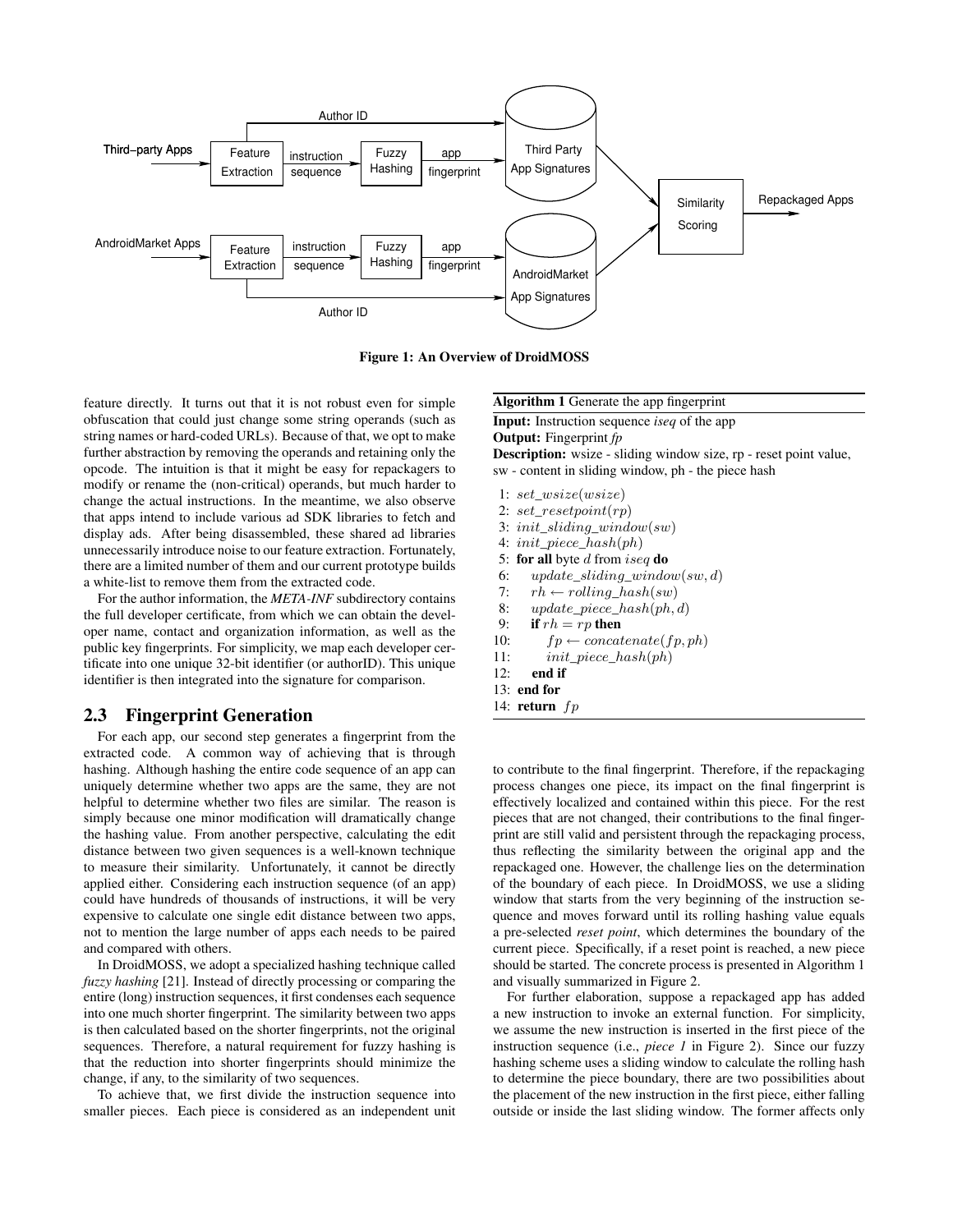

**Figure 1: An Overview of DroidMOSS**

feature directly. It turns out that it is not robust even for simple obfuscation that could just change some string operands (such as string names or hard-coded URLs). Because of that, we opt to make further abstraction by removing the operands and retaining only the opcode. The intuition is that it might be easy for repackagers to modify or rename the (non-critical) operands, but much harder to change the actual instructions. In the meantime, we also observe that apps intend to include various ad SDK libraries to fetch and display ads. After being disassembled, these shared ad libraries unnecessarily introduce noise to our feature extraction. Fortunately, there are a limited number of them and our current prototype builds a white-list to remove them from the extracted code.

For the author information, the *META-INF* subdirectory contains the full developer certificate, from which we can obtain the developer name, contact and organization information, as well as the public key fingerprints. For simplicity, we map each developer certificate into one unique 32-bit identifier (or authorID). This unique identifier is then integrated into the signature for comparison.

#### **2.3 Fingerprint Generation**

For each app, our second step generates a fingerprint from the extracted code. A common way of achieving that is through hashing. Although hashing the entire code sequence of an app can uniquely determine whether two apps are the same, they are not helpful to determine whether two files are similar. The reason is simply because one minor modification will dramatically change the hashing value. From another perspective, calculating the edit distance between two given sequences is a well-known technique to measure their similarity. Unfortunately, it cannot be directly applied either. Considering each instruction sequence (of an app) could have hundreds of thousands of instructions, it will be very expensive to calculate one single edit distance between two apps, not to mention the large number of apps each needs to be paired and compared with others.

In DroidMOSS, we adopt a specialized hashing technique called *fuzzy hashing* [21]. Instead of directly processing or comparing the entire (long) instruction sequences, it first condenses each sequence into one much shorter fingerprint. The similarity between two apps is then calculated based on the shorter fingerprints, not the original sequences. Therefore, a natural requirement for fuzzy hashing is that the reduction into shorter fingerprints should minimize the change, if any, to the similarity of two sequences.

To achieve that, we first divide the instruction sequence into smaller pieces. Each piece is considered as an independent unit

#### **Algorithm 1** Generate the app fingerprint

**Input:** Instruction sequence *iseq* of the app **Output:** Fingerprint *fp* **Description:** wsize - sliding window size, rp - reset point value, sw - content in sliding window, ph - the piece hash

- 1: set\_wsize(wsize)
- 2:  $set\_resetpoint(rp)$
- 3: init\_sliding\_window(sw)
- 4: init\_piece\_hash(ph)
- 5: **for all** byte d from iseq **do**
- 6: update sliding window(sw, d)
- 7:  $rh \leftarrow rolling\_hash(sw)$ <br>8: undate niece hash(nh.)
- 8: update\_piece\_hash(ph, d)<br>9: **if**  $rh = rp$  **then**
- 9: **if**  $rh = rp$  **then**<br>10:  $fp \leftarrow concat$
- $fp \leftarrow concatenate(fp, ph)$
- 11:  $init\_piece\_hash(ph)$
- 12: **end if**
- 13: **end for**
- 14: **return** fp

to contribute to the final fingerprint. Therefore, if the repackaging process changes one piece, its impact on the final fingerprint is effectively localized and contained within this piece. For the rest pieces that are not changed, their contributions to the final fingerprint are still valid and persistent through the repackaging process, thus reflecting the similarity between the original app and the repackaged one. However, the challenge lies on the determination of the boundary of each piece. In DroidMOSS, we use a sliding window that starts from the very beginning of the instruction sequence and moves forward until its rolling hashing value equals a pre-selected *reset point*, which determines the boundary of the current piece. Specifically, if a reset point is reached, a new piece should be started. The concrete process is presented in Algorithm 1 and visually summarized in Figure 2.

For further elaboration, suppose a repackaged app has added a new instruction to invoke an external function. For simplicity, we assume the new instruction is inserted in the first piece of the instruction sequence (i.e., *piece 1* in Figure 2). Since our fuzzy hashing scheme uses a sliding window to calculate the rolling hash to determine the piece boundary, there are two possibilities about the placement of the new instruction in the first piece, either falling outside or inside the last sliding window. The former affects only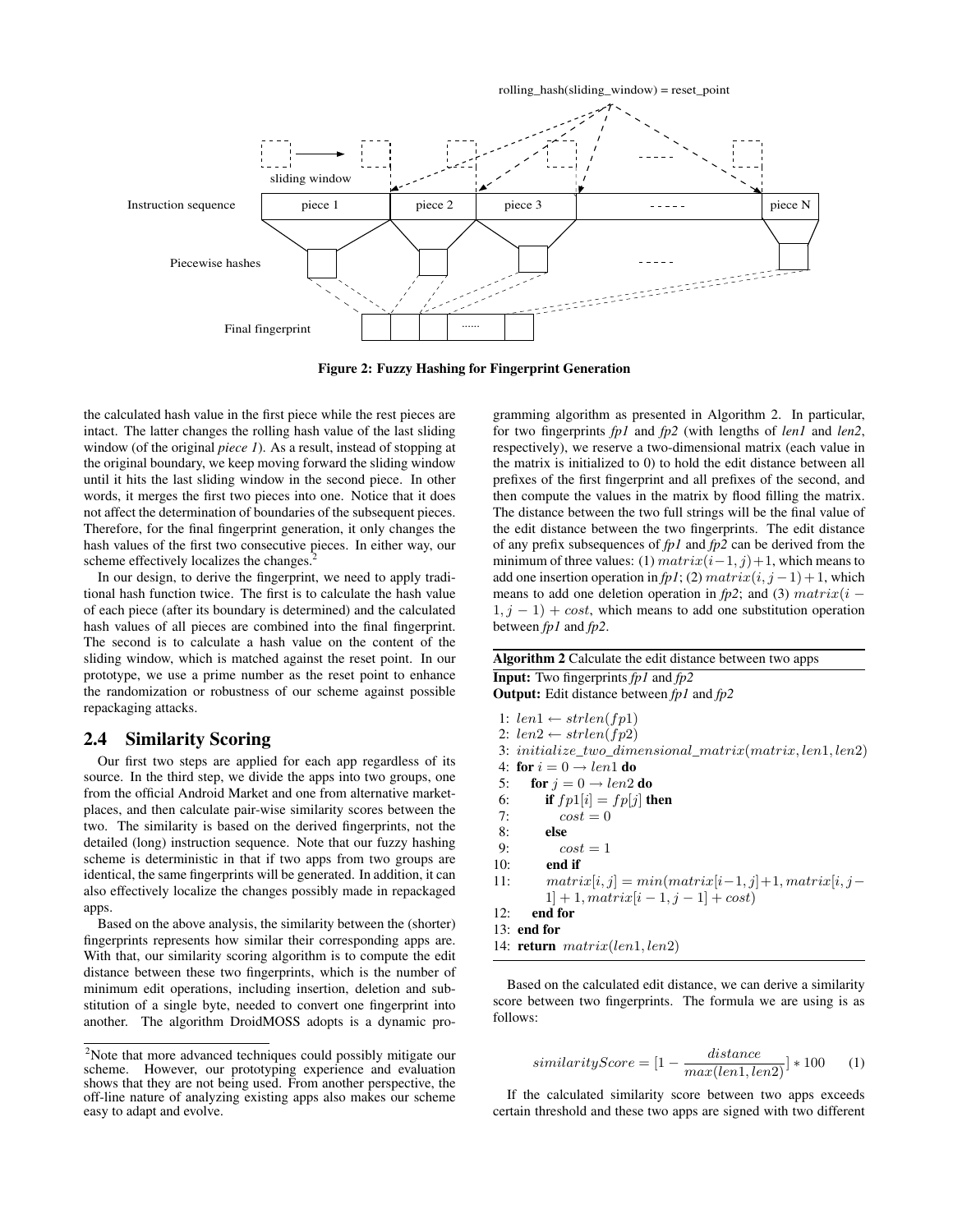

**Figure 2: Fuzzy Hashing for Fingerprint Generation**

the calculated hash value in the first piece while the rest pieces are intact. The latter changes the rolling hash value of the last sliding window (of the original *piece 1*). As a result, instead of stopping at the original boundary, we keep moving forward the sliding window until it hits the last sliding window in the second piece. In other words, it merges the first two pieces into one. Notice that it does not affect the determination of boundaries of the subsequent pieces. Therefore, for the final fingerprint generation, it only changes the hash values of the first two consecutive pieces. In either way, our scheme effectively localizes the changes.<sup>2</sup>

In our design, to derive the fingerprint, we need to apply traditional hash function twice. The first is to calculate the hash value of each piece (after its boundary is determined) and the calculated hash values of all pieces are combined into the final fingerprint. The second is to calculate a hash value on the content of the sliding window, which is matched against the reset point. In our prototype, we use a prime number as the reset point to enhance the randomization or robustness of our scheme against possible repackaging attacks.

### **2.4 Similarity Scoring**

Our first two steps are applied for each app regardless of its source. In the third step, we divide the apps into two groups, one from the official Android Market and one from alternative marketplaces, and then calculate pair-wise similarity scores between the two. The similarity is based on the derived fingerprints, not the detailed (long) instruction sequence. Note that our fuzzy hashing scheme is deterministic in that if two apps from two groups are identical, the same fingerprints will be generated. In addition, it can also effectively localize the changes possibly made in repackaged apps.

Based on the above analysis, the similarity between the (shorter) fingerprints represents how similar their corresponding apps are. With that, our similarity scoring algorithm is to compute the edit distance between these two fingerprints, which is the number of minimum edit operations, including insertion, deletion and substitution of a single byte, needed to convert one fingerprint into another. The algorithm DroidMOSS adopts is a dynamic programming algorithm as presented in Algorithm 2. In particular, for two fingerprints *fp1* and *fp2* (with lengths of *len1* and *len2*, respectively), we reserve a two-dimensional matrix (each value in the matrix is initialized to 0) to hold the edit distance between all prefixes of the first fingerprint and all prefixes of the second, and then compute the values in the matrix by flood filling the matrix. The distance between the two full strings will be the final value of the edit distance between the two fingerprints. The edit distance of any prefix subsequences of *fp1* and *fp2* can be derived from the minimum of three values: (1)  $matrix(i-1, j)+1$ , which means to add one insertion operation in *fp1*; (2)  $matrix(i, j - 1) + 1$ , which means to add one deletion operation in  $fp2$ ; and (3)  $matrix(i 1, j - 1$ ) + cost, which means to add one substitution operation between *fp1* and *fp2*.

#### **Algorithm 2** Calculate the edit distance between two apps

**Input:** Two fingerprints *fp1* and *fp2* **Output:** Edit distance between *fp1* and *fp2*

- 1:  $len1 \leftarrow strlen(fp1)$
- 2:  $len2 \leftarrow strlen(fp2)$
- 3: initialize\_two\_dimensional\_matrix(matrix, len1, len2)
- 4: **for**  $i = 0 \rightarrow len1$  **do**
- 5: **for**  $i = 0 \rightarrow len2$  **do**
- 6: **if**  $fp1[i] = fp[j]$  **then**
- 7:  $cost = 0$
- 8: **else**
- 
- 9:  $cost = 1$ <br>10: **end if** end if
- 11:  $matrix[i, j] = min(matrix[i-1, j] + 1, matrix[i, j-1]$  $1] + 1, matrix[i - 1, j - 1] + cost)$

```
12: end for
```
- 13: **end for**
- 14: **return** matrix(len1, len2)

Based on the calculated edit distance, we can derive a similarity score between two fingerprints. The formula we are using is as follows:

$$
similarityScore = [1 - \frac{distance}{max(len1, len2)}] * 100
$$
 (1)

If the calculated similarity score between two apps exceeds certain threshold and these two apps are signed with two different

<sup>&</sup>lt;sup>2</sup>Note that more advanced techniques could possibly mitigate our scheme. However, our prototyping experience and evaluation shows that they are not being used. From another perspective, the off-line nature of analyzing existing apps also makes our scheme easy to adapt and evolve.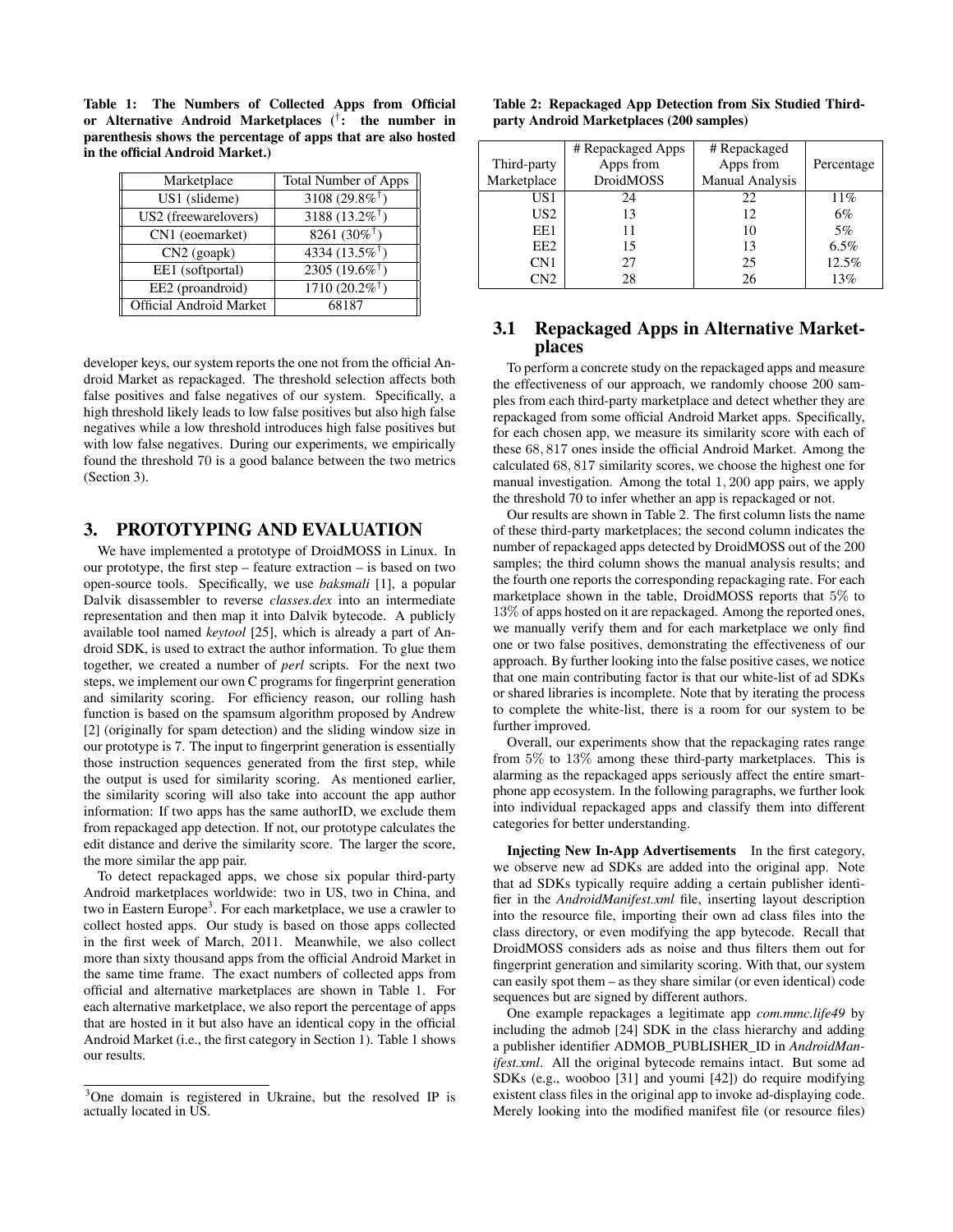**Table 1: The Numbers of Collected Apps from Official or Alternative Android Marketplaces (**† **: the number in parenthesis shows the percentage of apps that are also hosted in the official Android Market.)**

| Marketplace             | Total Number of Apps              |
|-------------------------|-----------------------------------|
| US1 (slideme)           | $\frac{3108}{(29.8\%^{\dagger})}$ |
| US2 (freewarelovers)    | $3188 (13.2\%)$                   |
| CN1 (eoemarket)         | $8261(30\%^\dagger)$              |
| CN2 (goapk)             | $4334(13.5\%)$                    |
| EE1 (softportal)        | $2305(19.6\%)$                    |
| EE2 (proandroid)        | $1710(20.2\%^{\dagger})$          |
| Official Android Market | 68187                             |

developer keys, our system reports the one not from the official Android Market as repackaged. The threshold selection affects both false positives and false negatives of our system. Specifically, a high threshold likely leads to low false positives but also high false negatives while a low threshold introduces high false positives but with low false negatives. During our experiments, we empirically found the threshold 70 is a good balance between the two metrics (Section 3).

### **3. PROTOTYPING AND EVALUATION**

We have implemented a prototype of DroidMOSS in Linux. In our prototype, the first step – feature extraction – is based on two open-source tools. Specifically, we use *baksmali* [1], a popular Dalvik disassembler to reverse *classes.dex* into an intermediate representation and then map it into Dalvik bytecode. A publicly available tool named *keytool* [25], which is already a part of Android SDK, is used to extract the author information. To glue them together, we created a number of *perl* scripts. For the next two steps, we implement our own C programs for fingerprint generation and similarity scoring. For efficiency reason, our rolling hash function is based on the spamsum algorithm proposed by Andrew [2] (originally for spam detection) and the sliding window size in our prototype is 7. The input to fingerprint generation is essentially those instruction sequences generated from the first step, while the output is used for similarity scoring. As mentioned earlier, the similarity scoring will also take into account the app author information: If two apps has the same authorID, we exclude them from repackaged app detection. If not, our prototype calculates the edit distance and derive the similarity score. The larger the score, the more similar the app pair.

To detect repackaged apps, we chose six popular third-party Android marketplaces worldwide: two in US, two in China, and two in Eastern Europe<sup>3</sup>. For each marketplace, we use a crawler to collect hosted apps. Our study is based on those apps collected in the first week of March, 2011. Meanwhile, we also collect more than sixty thousand apps from the official Android Market in the same time frame. The exact numbers of collected apps from official and alternative marketplaces are shown in Table 1. For each alternative marketplace, we also report the percentage of apps that are hosted in it but also have an identical copy in the official Android Market (i.e., the first category in Section 1). Table 1 shows our results.

| Table 2: Repackaged App Detection from Six Studied Third- |  |  |  |
|-----------------------------------------------------------|--|--|--|
| party Android Marketplaces (200 samples)                  |  |  |  |

|                 | # Repackaged Apps | # Repackaged           |            |
|-----------------|-------------------|------------------------|------------|
| Third-party     | Apps from         | Apps from              | Percentage |
| Marketplace     | <b>DroidMOSS</b>  | <b>Manual Analysis</b> |            |
| US <sub>1</sub> | 24                | 22                     | 11%        |
| US <sub>2</sub> | 13                | 12                     | 6%         |
| EE1             | 11                | 10                     | 5%         |
| EE <sub>2</sub> | 15                | 13                     | 6.5%       |
| CN <sub>1</sub> | 27                | 25                     | 12.5%      |
| CN2             | 28                | 26                     | 13%        |

## **3.1 Repackaged Apps in Alternative Marketplaces**

To perform a concrete study on the repackaged apps and measure the effectiveness of our approach, we randomly choose 200 samples from each third-party marketplace and detect whether they are repackaged from some official Android Market apps. Specifically, for each chosen app, we measure its similarity score with each of these 68, 817 ones inside the official Android Market. Among the calculated 68, 817 similarity scores, we choose the highest one for manual investigation. Among the total 1, 200 app pairs, we apply the threshold 70 to infer whether an app is repackaged or not.

Our results are shown in Table 2. The first column lists the name of these third-party marketplaces; the second column indicates the number of repackaged apps detected by DroidMOSS out of the 200 samples; the third column shows the manual analysis results; and the fourth one reports the corresponding repackaging rate. For each marketplace shown in the table, DroidMOSS reports that 5% to 13% of apps hosted on it are repackaged. Among the reported ones, we manually verify them and for each marketplace we only find one or two false positives, demonstrating the effectiveness of our approach. By further looking into the false positive cases, we notice that one main contributing factor is that our white-list of ad SDKs or shared libraries is incomplete. Note that by iterating the process to complete the white-list, there is a room for our system to be further improved.

Overall, our experiments show that the repackaging rates range from 5% to 13% among these third-party marketplaces. This is alarming as the repackaged apps seriously affect the entire smartphone app ecosystem. In the following paragraphs, we further look into individual repackaged apps and classify them into different categories for better understanding.

**Injecting New In-App Advertisements** In the first category, we observe new ad SDKs are added into the original app. Note that ad SDKs typically require adding a certain publisher identifier in the *AndroidManifest.xml* file, inserting layout description into the resource file, importing their own ad class files into the class directory, or even modifying the app bytecode. Recall that DroidMOSS considers ads as noise and thus filters them out for fingerprint generation and similarity scoring. With that, our system can easily spot them – as they share similar (or even identical) code sequences but are signed by different authors.

One example repackages a legitimate app *com.mmc.life49* by including the admob [24] SDK in the class hierarchy and adding a publisher identifier ADMOB\_PUBLISHER\_ID in *AndroidManifest.xml*. All the original bytecode remains intact. But some ad SDKs (e.g., wooboo [31] and youmi [42]) do require modifying existent class files in the original app to invoke ad-displaying code. Merely looking into the modified manifest file (or resource files)

<sup>3</sup>One domain is registered in Ukraine, but the resolved IP is actually located in US.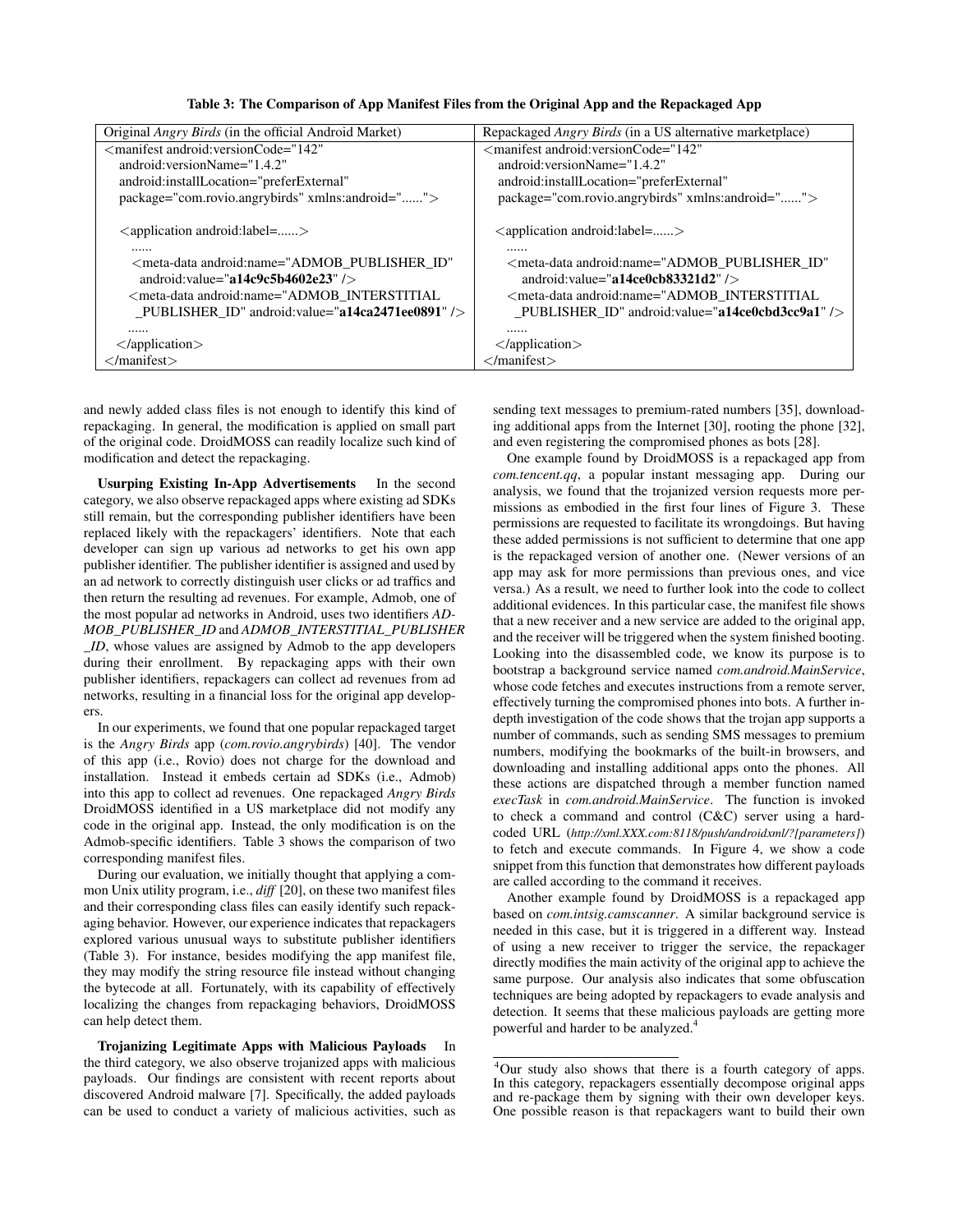| Table 3: The Comparison of App Manifest Files from the Original App and the Repackaged App |  |  |
|--------------------------------------------------------------------------------------------|--|--|
|                                                                                            |  |  |

| Original <i>Angry Birds</i> (in the official Android Market)                                                                                                                                                                                                                                                                                                                                                                                                                                                        | Repackaged Angry Birds (in a US alternative marketplace) |
|---------------------------------------------------------------------------------------------------------------------------------------------------------------------------------------------------------------------------------------------------------------------------------------------------------------------------------------------------------------------------------------------------------------------------------------------------------------------------------------------------------------------|----------------------------------------------------------|
| $\leq$ manifest android: version $\text{Code}$ ="142"                                                                                                                                                                                                                                                                                                                                                                                                                                                               | $\epsilon$ manifest android: version Code="142"          |
| android: version Name="1.4.2"                                                                                                                                                                                                                                                                                                                                                                                                                                                                                       | android: version Name="1.4.2"                            |
| android:installLocation="preferExternal"                                                                                                                                                                                                                                                                                                                                                                                                                                                                            | android:installLocation="preferExternal"                 |
| package="com.rovio.angrybirds" xmlns:android="">                                                                                                                                                                                                                                                                                                                                                                                                                                                                    | package="com.rovio.angrybirds" xmlns:android="">         |
| $\langle$ application android: label=                                                                                                                                                                                                                                                                                                                                                                                                                                                                               | $\langle$ application android:label=                     |
| <br><meta-data <br="" android:name="ADMOB_PUBLISHER_ID">android: value="<math>a14c9c5b4602e23"</math> /&gt;<br/><meta-data admob_publisher_id"<br="" android:name="ADMOB_INTERSTITIAL&lt;/td&gt;&lt;td&gt;&lt;br&gt;&lt;meta-data android:name=">android: value="<math>a14ce0cb83321d2"</math> /&gt;<br/><meta-data <="" android:="" android:name="ADMOB_INTERSTITIAL&lt;/td&gt;&lt;/tr&gt;&lt;tr&gt;&lt;td&gt;PUBLISHER ID" math="" value="&lt;math&gt;a14ca2471ee0891"> /&gt;</meta-data></meta-data></meta-data> | PUBLISHER ID" android: value=" $a14ce0cbd3cc9a1$ " />    |
|                                                                                                                                                                                                                                                                                                                                                                                                                                                                                                                     |                                                          |
| $\langle$ /application $\rangle$                                                                                                                                                                                                                                                                                                                                                                                                                                                                                    | $\langle$ /application $\rangle$                         |
| $<$ /manifest $>$                                                                                                                                                                                                                                                                                                                                                                                                                                                                                                   | $<$ /manifest $>$                                        |

and newly added class files is not enough to identify this kind of repackaging. In general, the modification is applied on small part of the original code. DroidMOSS can readily localize such kind of modification and detect the repackaging.

**Usurping Existing In-App Advertisements** In the second category, we also observe repackaged apps where existing ad SDKs still remain, but the corresponding publisher identifiers have been replaced likely with the repackagers' identifiers. Note that each developer can sign up various ad networks to get his own app publisher identifier. The publisher identifier is assigned and used by an ad network to correctly distinguish user clicks or ad traffics and then return the resulting ad revenues. For example, Admob, one of the most popular ad networks in Android, uses two identifiers *AD-MOB\_PUBLISHER\_ID* and *ADMOB\_INTERSTITIAL\_PUBLISHER \_ID*, whose values are assigned by Admob to the app developers during their enrollment. By repackaging apps with their own publisher identifiers, repackagers can collect ad revenues from ad networks, resulting in a financial loss for the original app developers.

In our experiments, we found that one popular repackaged target is the *Angry Birds* app (*com.rovio.angrybirds*) [40]. The vendor of this app (i.e., Rovio) does not charge for the download and installation. Instead it embeds certain ad SDKs (i.e., Admob) into this app to collect ad revenues. One repackaged *Angry Birds* DroidMOSS identified in a US marketplace did not modify any code in the original app. Instead, the only modification is on the Admob-specific identifiers. Table 3 shows the comparison of two corresponding manifest files.

During our evaluation, we initially thought that applying a common Unix utility program, i.e., *diff* [20], on these two manifest files and their corresponding class files can easily identify such repackaging behavior. However, our experience indicates that repackagers explored various unusual ways to substitute publisher identifiers (Table 3). For instance, besides modifying the app manifest file, they may modify the string resource file instead without changing the bytecode at all. Fortunately, with its capability of effectively localizing the changes from repackaging behaviors, DroidMOSS can help detect them.

**Trojanizing Legitimate Apps with Malicious Payloads** In the third category, we also observe trojanized apps with malicious payloads. Our findings are consistent with recent reports about discovered Android malware [7]. Specifically, the added payloads can be used to conduct a variety of malicious activities, such as

sending text messages to premium-rated numbers [35], downloading additional apps from the Internet [30], rooting the phone [32], and even registering the compromised phones as bots [28].

One example found by DroidMOSS is a repackaged app from *com.tencent.qq*, a popular instant messaging app. During our analysis, we found that the trojanized version requests more permissions as embodied in the first four lines of Figure 3. These permissions are requested to facilitate its wrongdoings. But having these added permissions is not sufficient to determine that one app is the repackaged version of another one. (Newer versions of an app may ask for more permissions than previous ones, and vice versa.) As a result, we need to further look into the code to collect additional evidences. In this particular case, the manifest file shows that a new receiver and a new service are added to the original app, and the receiver will be triggered when the system finished booting. Looking into the disassembled code, we know its purpose is to bootstrap a background service named *com.android.MainService*, whose code fetches and executes instructions from a remote server, effectively turning the compromised phones into bots. A further indepth investigation of the code shows that the trojan app supports a number of commands, such as sending SMS messages to premium numbers, modifying the bookmarks of the built-in browsers, and downloading and installing additional apps onto the phones. All these actions are dispatched through a member function named *execTask* in *com.android.MainService*. The function is invoked to check a command and control (C&C) server using a hardcoded URL (*http://xml.XXX.com:8118/push/androidxml/?[parameters]*) to fetch and execute commands. In Figure 4, we show a code snippet from this function that demonstrates how different payloads are called according to the command it receives.

Another example found by DroidMOSS is a repackaged app based on *com.intsig.camscanner*. A similar background service is needed in this case, but it is triggered in a different way. Instead of using a new receiver to trigger the service, the repackager directly modifies the main activity of the original app to achieve the same purpose. Our analysis also indicates that some obfuscation techniques are being adopted by repackagers to evade analysis and detection. It seems that these malicious payloads are getting more powerful and harder to be analyzed.<sup>4</sup>

<sup>4</sup>Our study also shows that there is a fourth category of apps. In this category, repackagers essentially decompose original apps and re-package them by signing with their own developer keys. One possible reason is that repackagers want to build their own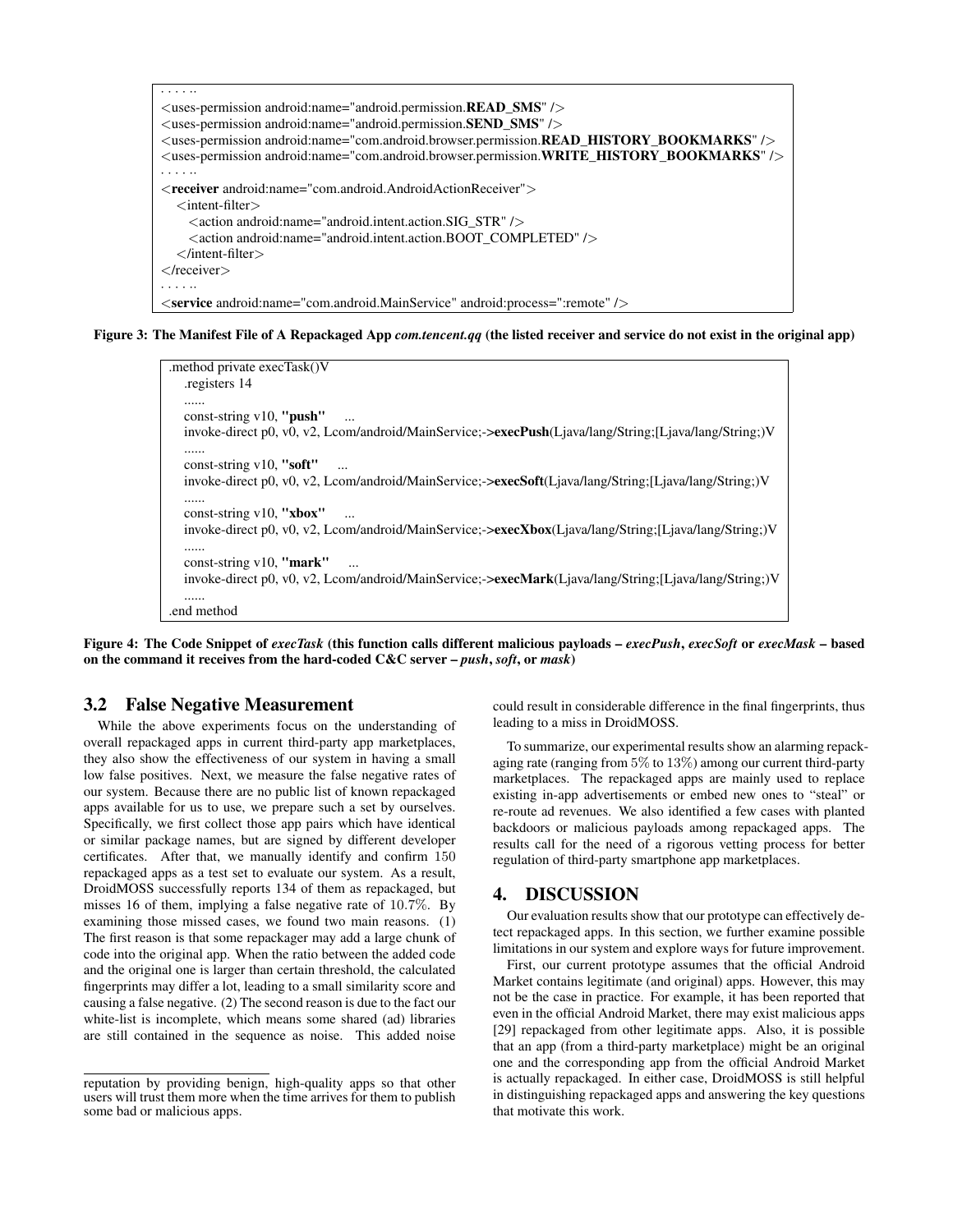

**Figure 3: The Manifest File of A Repackaged App** *com.tencent.qq* **(the listed receiver and service do not exist in the original app)**

```
.method private execTask()V
  .registers 14
  ......
  const-string v10, "push" ...
  invoke-direct p0, v0, v2, Lcom/android/MainService;->execPush(Ljava/lang/String;[Ljava/lang/String;)V
  ......
  const-string v10, "soft" ...
  invoke-direct p0, v0, v2, Lcom/android/MainService;->execSoft(Ljava/lang/String;[Ljava/lang/String;)V
  ......
  const-string v10, "xbox" ...
  invoke-direct p0, v0, v2, Lcom/android/MainService;->execXbox(Ljava/lang/String;[Ljava/lang/String;)V
  ......
  const-string v10, "mark" ...
  invoke-direct p0, v0, v2, Lcom/android/MainService;->execMark(Ljava/lang/String;[Ljava/lang/String;)V
  ......
.end method
```
**Figure 4: The Code Snippet of** *execTask* **(this function calls different malicious payloads –** *execPush***,** *execSoft* **or** *execMask* **– based on the command it receives from the hard-coded C&C server –** *push***,** *soft***, or** *mask***)**

#### **3.2 False Negative Measurement**

While the above experiments focus on the understanding of overall repackaged apps in current third-party app marketplaces, they also show the effectiveness of our system in having a small low false positives. Next, we measure the false negative rates of our system. Because there are no public list of known repackaged apps available for us to use, we prepare such a set by ourselves. Specifically, we first collect those app pairs which have identical or similar package names, but are signed by different developer certificates. After that, we manually identify and confirm 150 repackaged apps as a test set to evaluate our system. As a result, DroidMOSS successfully reports 134 of them as repackaged, but misses 16 of them, implying a false negative rate of 10.7%. By examining those missed cases, we found two main reasons. (1) The first reason is that some repackager may add a large chunk of code into the original app. When the ratio between the added code and the original one is larger than certain threshold, the calculated fingerprints may differ a lot, leading to a small similarity score and causing a false negative. (2) The second reason is due to the fact our white-list is incomplete, which means some shared (ad) libraries are still contained in the sequence as noise. This added noise

could result in considerable difference in the final fingerprints, thus leading to a miss in DroidMOSS.

To summarize, our experimental results show an alarming repackaging rate (ranging from 5% to 13%) among our current third-party marketplaces. The repackaged apps are mainly used to replace existing in-app advertisements or embed new ones to "steal" or re-route ad revenues. We also identified a few cases with planted backdoors or malicious payloads among repackaged apps. The results call for the need of a rigorous vetting process for better regulation of third-party smartphone app marketplaces.

## **4. DISCUSSION**

Our evaluation results show that our prototype can effectively detect repackaged apps. In this section, we further examine possible limitations in our system and explore ways for future improvement.

First, our current prototype assumes that the official Android Market contains legitimate (and original) apps. However, this may not be the case in practice. For example, it has been reported that even in the official Android Market, there may exist malicious apps [29] repackaged from other legitimate apps. Also, it is possible that an app (from a third-party marketplace) might be an original one and the corresponding app from the official Android Market is actually repackaged. In either case, DroidMOSS is still helpful in distinguishing repackaged apps and answering the key questions that motivate this work.

reputation by providing benign, high-quality apps so that other users will trust them more when the time arrives for them to publish some bad or malicious apps.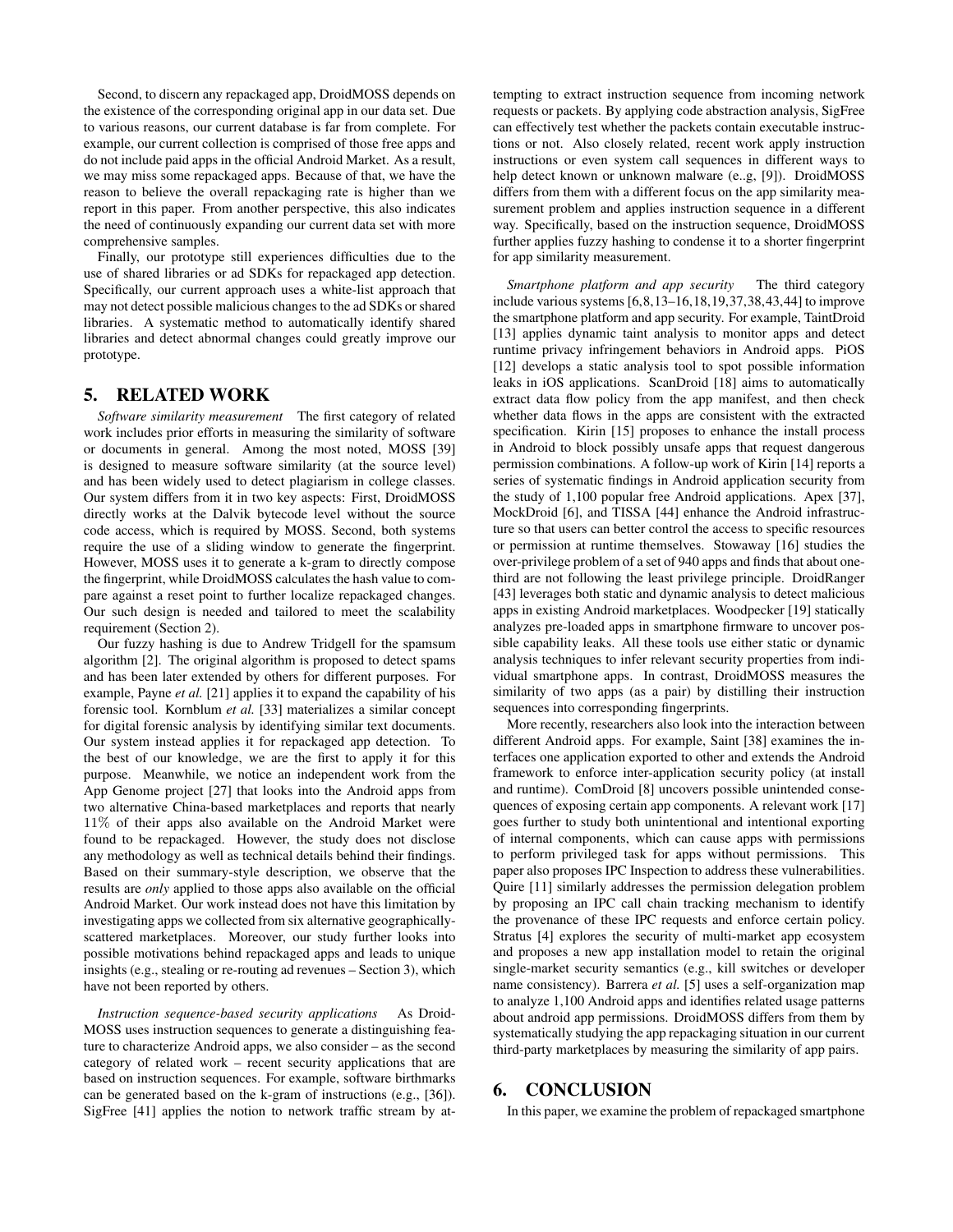Second, to discern any repackaged app, DroidMOSS depends on the existence of the corresponding original app in our data set. Due to various reasons, our current database is far from complete. For example, our current collection is comprised of those free apps and do not include paid apps in the official Android Market. As a result, we may miss some repackaged apps. Because of that, we have the reason to believe the overall repackaging rate is higher than we report in this paper. From another perspective, this also indicates the need of continuously expanding our current data set with more comprehensive samples.

Finally, our prototype still experiences difficulties due to the use of shared libraries or ad SDKs for repackaged app detection. Specifically, our current approach uses a white-list approach that may not detect possible malicious changes to the ad SDKs or shared libraries. A systematic method to automatically identify shared libraries and detect abnormal changes could greatly improve our prototype.

## **5. RELATED WORK**

*Software similarity measurement* The first category of related work includes prior efforts in measuring the similarity of software or documents in general. Among the most noted, MOSS [39] is designed to measure software similarity (at the source level) and has been widely used to detect plagiarism in college classes. Our system differs from it in two key aspects: First, DroidMOSS directly works at the Dalvik bytecode level without the source code access, which is required by MOSS. Second, both systems require the use of a sliding window to generate the fingerprint. However, MOSS uses it to generate a k-gram to directly compose the fingerprint, while DroidMOSS calculates the hash value to compare against a reset point to further localize repackaged changes. Our such design is needed and tailored to meet the scalability requirement (Section 2).

Our fuzzy hashing is due to Andrew Tridgell for the spamsum algorithm [2]. The original algorithm is proposed to detect spams and has been later extended by others for different purposes. For example, Payne *et al.* [21] applies it to expand the capability of his forensic tool. Kornblum *et al.* [33] materializes a similar concept for digital forensic analysis by identifying similar text documents. Our system instead applies it for repackaged app detection. To the best of our knowledge, we are the first to apply it for this purpose. Meanwhile, we notice an independent work from the App Genome project [27] that looks into the Android apps from two alternative China-based marketplaces and reports that nearly 11% of their apps also available on the Android Market were found to be repackaged. However, the study does not disclose any methodology as well as technical details behind their findings. Based on their summary-style description, we observe that the results are *only* applied to those apps also available on the official Android Market. Our work instead does not have this limitation by investigating apps we collected from six alternative geographicallyscattered marketplaces. Moreover, our study further looks into possible motivations behind repackaged apps and leads to unique insights (e.g., stealing or re-routing ad revenues – Section 3), which have not been reported by others.

*Instruction sequence-based security applications* As Droid-MOSS uses instruction sequences to generate a distinguishing feature to characterize Android apps, we also consider – as the second category of related work – recent security applications that are based on instruction sequences. For example, software birthmarks can be generated based on the k-gram of instructions (e.g., [36]). SigFree [41] applies the notion to network traffic stream by attempting to extract instruction sequence from incoming network requests or packets. By applying code abstraction analysis, SigFree can effectively test whether the packets contain executable instructions or not. Also closely related, recent work apply instruction instructions or even system call sequences in different ways to help detect known or unknown malware (e..g, [9]). DroidMOSS differs from them with a different focus on the app similarity measurement problem and applies instruction sequence in a different way. Specifically, based on the instruction sequence, DroidMOSS further applies fuzzy hashing to condense it to a shorter fingerprint for app similarity measurement.

*Smartphone platform and app security* The third category include various systems [6,8,13–16,18,19,37,38,43,44] to improve the smartphone platform and app security. For example, TaintDroid [13] applies dynamic taint analysis to monitor apps and detect runtime privacy infringement behaviors in Android apps. PiOS [12] develops a static analysis tool to spot possible information leaks in iOS applications. ScanDroid [18] aims to automatically extract data flow policy from the app manifest, and then check whether data flows in the apps are consistent with the extracted specification. Kirin [15] proposes to enhance the install process in Android to block possibly unsafe apps that request dangerous permission combinations. A follow-up work of Kirin [14] reports a series of systematic findings in Android application security from the study of 1,100 popular free Android applications. Apex [37], MockDroid [6], and TISSA [44] enhance the Android infrastructure so that users can better control the access to specific resources or permission at runtime themselves. Stowaway [16] studies the over-privilege problem of a set of 940 apps and finds that about onethird are not following the least privilege principle. DroidRanger [43] leverages both static and dynamic analysis to detect malicious apps in existing Android marketplaces. Woodpecker [19] statically analyzes pre-loaded apps in smartphone firmware to uncover possible capability leaks. All these tools use either static or dynamic analysis techniques to infer relevant security properties from individual smartphone apps. In contrast, DroidMOSS measures the similarity of two apps (as a pair) by distilling their instruction sequences into corresponding fingerprints.

More recently, researchers also look into the interaction between different Android apps. For example, Saint [38] examines the interfaces one application exported to other and extends the Android framework to enforce inter-application security policy (at install and runtime). ComDroid [8] uncovers possible unintended consequences of exposing certain app components. A relevant work [17] goes further to study both unintentional and intentional exporting of internal components, which can cause apps with permissions to perform privileged task for apps without permissions. This paper also proposes IPC Inspection to address these vulnerabilities. Quire [11] similarly addresses the permission delegation problem by proposing an IPC call chain tracking mechanism to identify the provenance of these IPC requests and enforce certain policy. Stratus [4] explores the security of multi-market app ecosystem and proposes a new app installation model to retain the original single-market security semantics (e.g., kill switches or developer name consistency). Barrera *et al.* [5] uses a self-organization map to analyze 1,100 Android apps and identifies related usage patterns about android app permissions. DroidMOSS differs from them by systematically studying the app repackaging situation in our current third-party marketplaces by measuring the similarity of app pairs.

## **6. CONCLUSION**

In this paper, we examine the problem of repackaged smartphone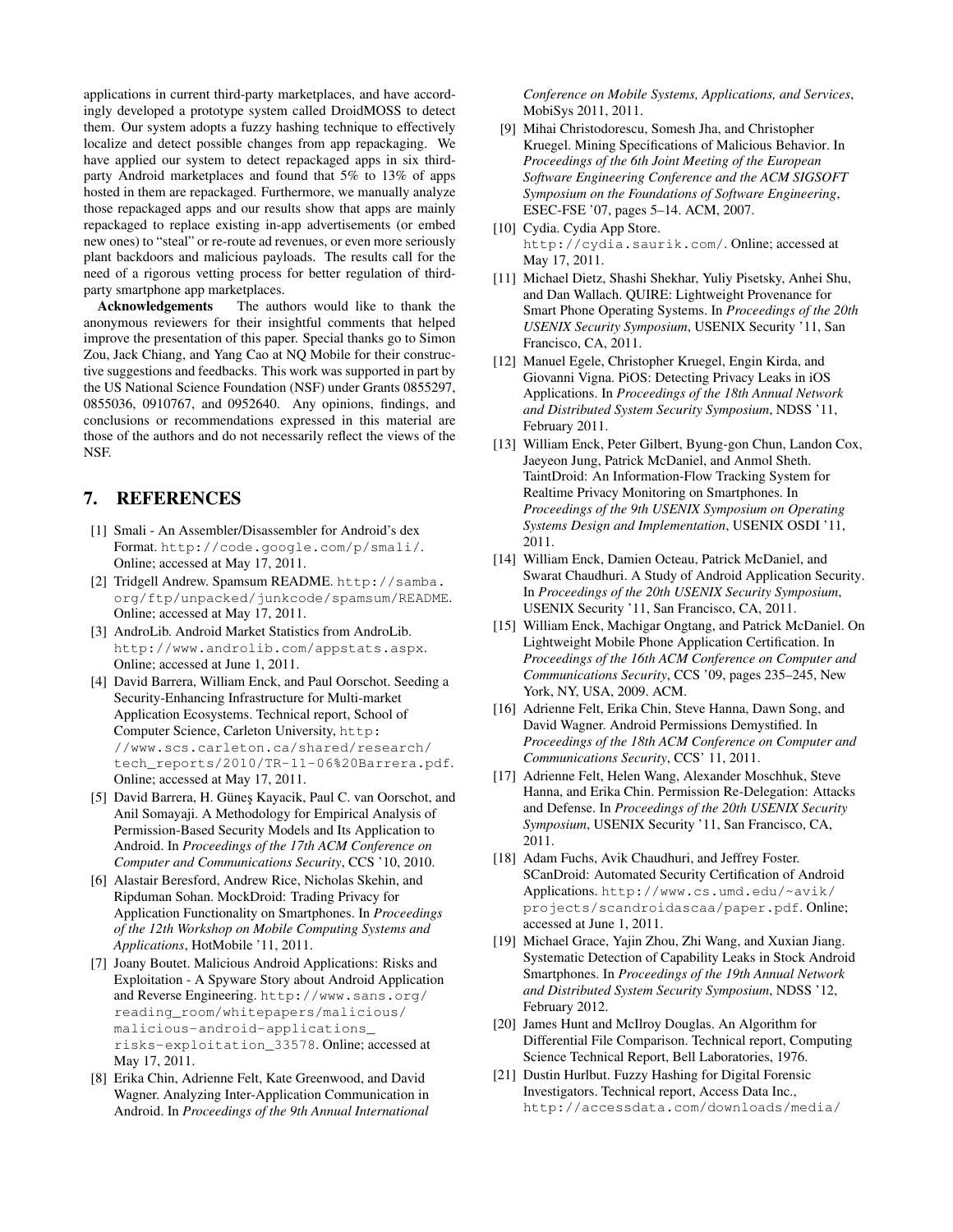applications in current third-party marketplaces, and have accordingly developed a prototype system called DroidMOSS to detect them. Our system adopts a fuzzy hashing technique to effectively localize and detect possible changes from app repackaging. We have applied our system to detect repackaged apps in six thirdparty Android marketplaces and found that 5% to 13% of apps hosted in them are repackaged. Furthermore, we manually analyze those repackaged apps and our results show that apps are mainly repackaged to replace existing in-app advertisements (or embed new ones) to "steal" or re-route ad revenues, or even more seriously plant backdoors and malicious payloads. The results call for the need of a rigorous vetting process for better regulation of thirdparty smartphone app marketplaces.

**Acknowledgements** The authors would like to thank the anonymous reviewers for their insightful comments that helped improve the presentation of this paper. Special thanks go to Simon Zou, Jack Chiang, and Yang Cao at NQ Mobile for their constructive suggestions and feedbacks. This work was supported in part by the US National Science Foundation (NSF) under Grants 0855297, 0855036, 0910767, and 0952640. Any opinions, findings, and conclusions or recommendations expressed in this material are those of the authors and do not necessarily reflect the views of the NSF.

## **7. REFERENCES**

- [1] Smali An Assembler/Disassembler for Android's dex Format. http://code.google.com/p/smali/. Online; accessed at May 17, 2011.
- [2] Tridgell Andrew. Spamsum README. http://samba. org/ftp/unpacked/junkcode/spamsum/README. Online; accessed at May 17, 2011.
- [3] AndroLib. Android Market Statistics from AndroLib. http://www.androlib.com/appstats.aspx. Online; accessed at June 1, 2011.
- [4] David Barrera, William Enck, and Paul Oorschot. Seeding a Security-Enhancing Infrastructure for Multi-market Application Ecosystems. Technical report, School of Computer Science, Carleton University, http: //www.scs.carleton.ca/shared/research/ tech\_reports/2010/TR-11-06%20Barrera.pdf. Online; accessed at May 17, 2011.
- [5] David Barrera, H. Güneş Kayacik, Paul C. van Oorschot, and Anil Somayaji. A Methodology for Empirical Analysis of Permission-Based Security Models and Its Application to Android. In *Proceedings of the 17th ACM Conference on Computer and Communications Security*, CCS '10, 2010.
- [6] Alastair Beresford, Andrew Rice, Nicholas Skehin, and Ripduman Sohan. MockDroid: Trading Privacy for Application Functionality on Smartphones. In *Proceedings of the 12th Workshop on Mobile Computing Systems and Applications*, HotMobile '11, 2011.
- [7] Joany Boutet. Malicious Android Applications: Risks and Exploitation - A Spyware Story about Android Application and Reverse Engineering. http://www.sans.org/ reading\_room/whitepapers/malicious/ malicious-android-applications\_ risks-exploitation\_33578. Online; accessed at May 17, 2011.
- [8] Erika Chin, Adrienne Felt, Kate Greenwood, and David Wagner. Analyzing Inter-Application Communication in Android. In *Proceedings of the 9th Annual International*

*Conference on Mobile Systems, Applications, and Services*, MobiSys 2011, 2011.

- [9] Mihai Christodorescu, Somesh Jha, and Christopher Kruegel. Mining Specifications of Malicious Behavior. In *Proceedings of the 6th Joint Meeting of the European Software Engineering Conference and the ACM SIGSOFT Symposium on the Foundations of Software Engineering*, ESEC-FSE '07, pages 5–14. ACM, 2007.
- [10] Cydia. Cydia App Store. http://cydia.saurik.com/. Online; accessed at May 17, 2011.
- [11] Michael Dietz, Shashi Shekhar, Yuliy Pisetsky, Anhei Shu, and Dan Wallach. QUIRE: Lightweight Provenance for Smart Phone Operating Systems. In *Proceedings of the 20th USENIX Security Symposium*, USENIX Security '11, San Francisco, CA, 2011.
- [12] Manuel Egele, Christopher Kruegel, Engin Kirda, and Giovanni Vigna. PiOS: Detecting Privacy Leaks in iOS Applications. In *Proceedings of the 18th Annual Network and Distributed System Security Symposium*, NDSS '11, February 2011.
- [13] William Enck, Peter Gilbert, Byung-gon Chun, Landon Cox, Jaeyeon Jung, Patrick McDaniel, and Anmol Sheth. TaintDroid: An Information-Flow Tracking System for Realtime Privacy Monitoring on Smartphones. In *Proceedings of the 9th USENIX Symposium on Operating Systems Design and Implementation*, USENIX OSDI '11, 2011.
- [14] William Enck, Damien Octeau, Patrick McDaniel, and Swarat Chaudhuri. A Study of Android Application Security. In *Proceedings of the 20th USENIX Security Symposium*, USENIX Security '11, San Francisco, CA, 2011.
- [15] William Enck, Machigar Ongtang, and Patrick McDaniel. On Lightweight Mobile Phone Application Certification. In *Proceedings of the 16th ACM Conference on Computer and Communications Security*, CCS '09, pages 235–245, New York, NY, USA, 2009. ACM.
- [16] Adrienne Felt, Erika Chin, Steve Hanna, Dawn Song, and David Wagner. Android Permissions Demystified. In *Proceedings of the 18th ACM Conference on Computer and Communications Security*, CCS' 11, 2011.
- [17] Adrienne Felt, Helen Wang, Alexander Moschhuk, Steve Hanna, and Erika Chin. Permission Re-Delegation: Attacks and Defense. In *Proceedings of the 20th USENIX Security Symposium*, USENIX Security '11, San Francisco, CA, 2011.
- [18] Adam Fuchs, Avik Chaudhuri, and Jeffrey Foster. SCanDroid: Automated Security Certification of Android Applications. http://www.cs.umd.edu/~avik/ projects/scandroidascaa/paper.pdf. Online; accessed at June 1, 2011.
- [19] Michael Grace, Yajin Zhou, Zhi Wang, and Xuxian Jiang. Systematic Detection of Capability Leaks in Stock Android Smartphones. In *Proceedings of the 19th Annual Network and Distributed System Security Symposium*, NDSS '12, February 2012.
- [20] James Hunt and McIlroy Douglas. An Algorithm for Differential File Comparison. Technical report, Computing Science Technical Report, Bell Laboratories, 1976.
- [21] Dustin Hurlbut. Fuzzy Hashing for Digital Forensic Investigators. Technical report, Access Data Inc., http://accessdata.com/downloads/media/